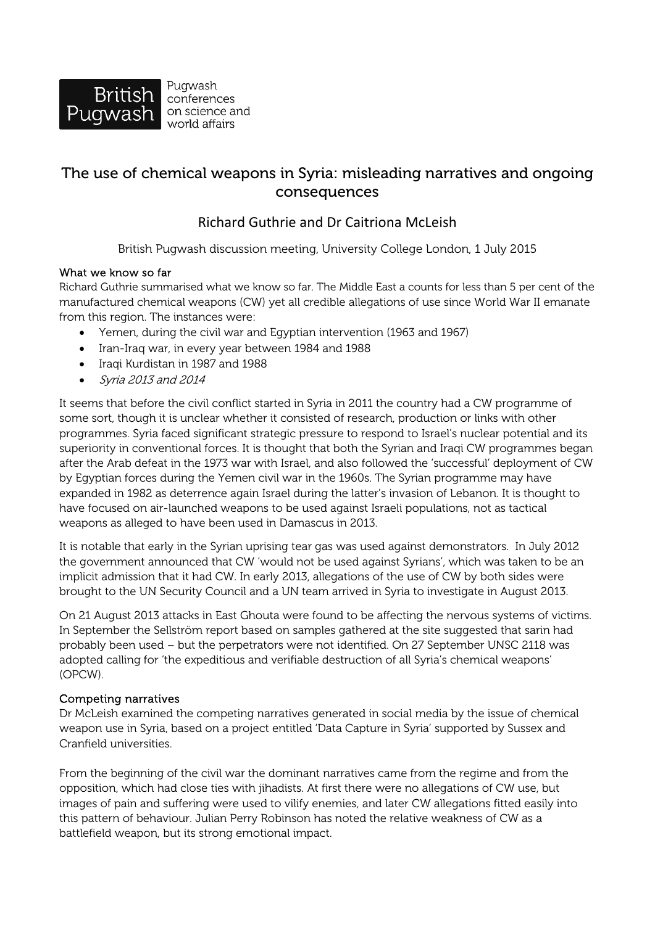

Pugwash conferences on science and world affairs

# The use of chemical weapons in Syria: misleading narratives and ongoing consequences

## Richard Guthrie and Dr Caitriona McLeish

British Pugwash discussion meeting, University College London, 1 July 2015

#### What we know so far

Richard Guthrie summarised what we know so far. The Middle East a counts for less than 5 per cent of the manufactured chemical weapons (CW) yet all credible allegations of use since World War II emanate from this region. The instances were:

- Yemen, during the civil war and Egyptian intervention (1963 and 1967)
- Iran-Iraq war, in every year between 1984 and 1988
- Iraqi Kurdistan in 1987 and 1988
- Syria 2013 and 2014

It seems that before the civil conflict started in Syria in 2011 the country had a CW programme of some sort, though it is unclear whether it consisted of research, production or links with other programmes. Syria faced significant strategic pressure to respond to Israel's nuclear potential and its superiority in conventional forces. It is thought that both the Syrian and Iraqi CW programmes began after the Arab defeat in the 1973 war with Israel, and also followed the 'successful' deployment of CW by Egyptian forces during the Yemen civil war in the 1960s. The Syrian programme may have expanded in 1982 as deterrence again Israel during the latter's invasion of Lebanon. It is thought to have focused on air-launched weapons to be used against Israeli populations, not as tactical weapons as alleged to have been used in Damascus in 2013.

It is notable that early in the Syrian uprising tear gas was used against demonstrators. In July 2012 the government announced that CW 'would not be used against Syrians', which was taken to be an implicit admission that it had CW. In early 2013, allegations of the use of CW by both sides were brought to the UN Security Council and a UN team arrived in Syria to investigate in August 2013.

On 21 August 2013 attacks in East Ghouta were found to be affecting the nervous systems of victims. In September the Sellström report based on samples gathered at the site suggested that sarin had probably been used – but the perpetrators were not identified. On 27 September UNSC 2118 was adopted calling for 'the expeditious and verifiable destruction of all Syria's chemical weapons' (OPCW).

#### Competing narratives

Dr McLeish examined the competing narratives generated in social media by the issue of chemical weapon use in Syria, based on a project entitled 'Data Capture in Syria' supported by Sussex and Cranfield universities.

From the beginning of the civil war the dominant narratives came from the regime and from the opposition, which had close ties with jihadists. At first there were no allegations of CW use, but images of pain and suffering were used to vilify enemies, and later CW allegations fitted easily into this pattern of behaviour. Julian Perry Robinson has noted the relative weakness of CW as a battlefield weapon, but its strong emotional impact.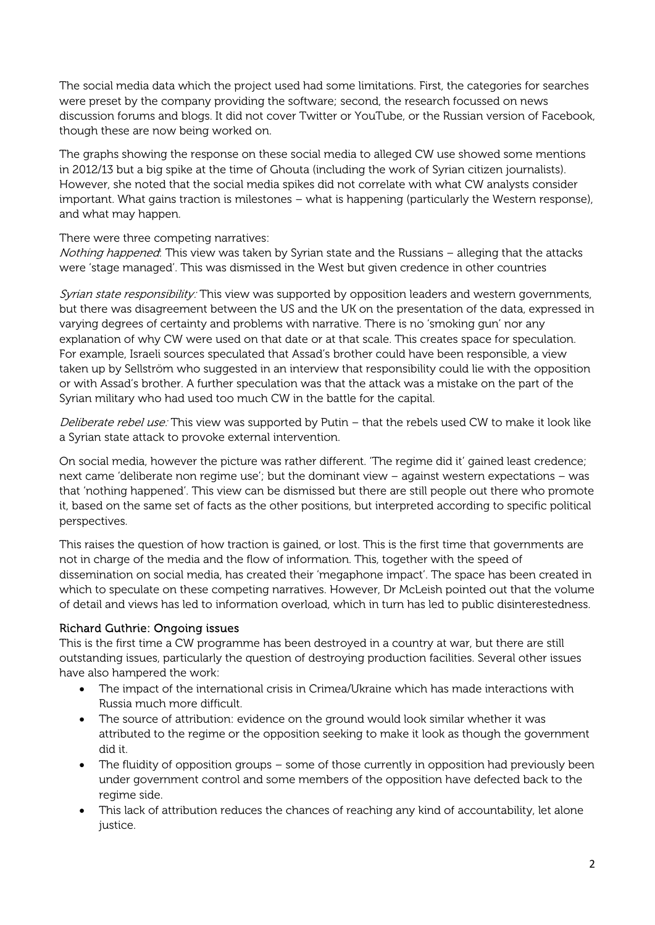The social media data which the project used had some limitations. First, the categories for searches were preset by the company providing the software; second, the research focussed on news discussion forums and blogs. It did not cover Twitter or YouTube, or the Russian version of Facebook, though these are now being worked on.

The graphs showing the response on these social media to alleged CW use showed some mentions in 2012/13 but a big spike at the time of Ghouta (including the work of Syrian citizen journalists). However, she noted that the social media spikes did not correlate with what CW analysts consider important. What gains traction is milestones – what is happening (particularly the Western response), and what may happen.

There were three competing narratives:

Nothing happened: This view was taken by Syrian state and the Russians - alleging that the attacks were 'stage managed'. This was dismissed in the West but given credence in other countries

Syrian state responsibility: This view was supported by opposition leaders and western governments, but there was disagreement between the US and the UK on the presentation of the data, expressed in varying degrees of certainty and problems with narrative. There is no 'smoking gun' nor any explanation of why CW were used on that date or at that scale. This creates space for speculation. For example, Israeli sources speculated that Assad's brother could have been responsible, a view taken up by Sellström who suggested in an interview that responsibility could lie with the opposition or with Assad's brother. A further speculation was that the attack was a mistake on the part of the Syrian military who had used too much CW in the battle for the capital.

Deliberate rebel use: This view was supported by Putin - that the rebels used CW to make it look like a Syrian state attack to provoke external intervention.

On social media, however the picture was rather different. 'The regime did it' gained least credence; next came 'deliberate non regime use'; but the dominant view – against western expectations – was that 'nothing happened'. This view can be dismissed but there are still people out there who promote it, based on the same set of facts as the other positions, but interpreted according to specific political perspectives.

This raises the question of how traction is gained, or lost. This is the first time that governments are not in charge of the media and the flow of information. This, together with the speed of dissemination on social media, has created their 'megaphone impact'. The space has been created in which to speculate on these competing narratives. However, Dr McLeish pointed out that the volume of detail and views has led to information overload, which in turn has led to public disinterestedness.

### Richard Guthrie: Ongoing issues

This is the first time a CW programme has been destroyed in a country at war, but there are still outstanding issues, particularly the question of destroying production facilities. Several other issues have also hampered the work:

- The impact of the international crisis in Crimea/Ukraine which has made interactions with Russia much more difficult.
- The source of attribution: evidence on the ground would look similar whether it was attributed to the regime or the opposition seeking to make it look as though the government did it.
- The fluidity of opposition groups some of those currently in opposition had previously been under government control and some members of the opposition have defected back to the regime side.
- This lack of attribution reduces the chances of reaching any kind of accountability, let alone justice.